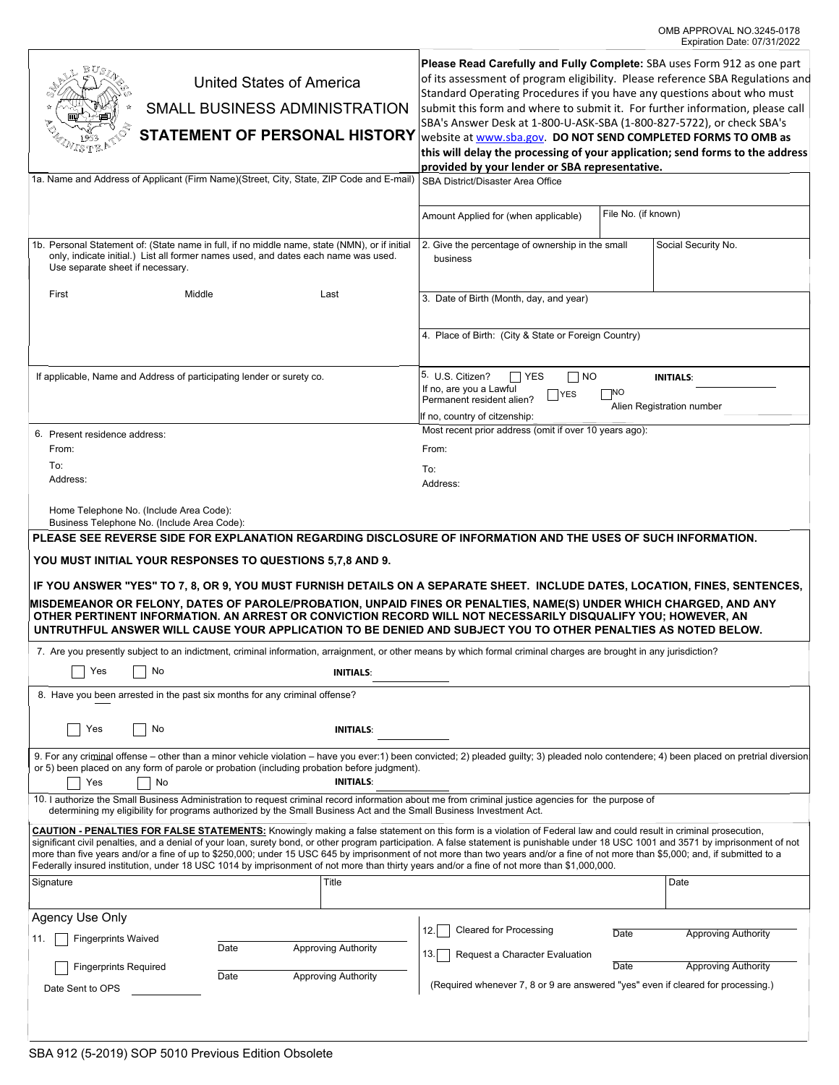| <b>United States of America</b><br>SMALL BUSINESS ADMINISTRATION<br><b>STATEMENT OF PERSONAL HISTORY</b><br>1a. Name and Address of Applicant (Firm Name)(Street, City, State, ZIP Code and E-mail)                                                                                                                                                                                                                                                                                                                                                                                                                                                                                            | Please Read Carefully and Fully Complete: SBA uses Form 912 as one part<br>of its assessment of program eligibility. Please reference SBA Regulations and<br>Standard Operating Procedures if you have any questions about who must<br>submit this form and where to submit it. For further information, please call<br>SBA's Answer Desk at 1-800-U-ASK-SBA (1-800-827-5722), or check SBA's<br>website at www.sba.gov. DO NOT SEND COMPLETED FORMS TO OMB as<br>this will delay the processing of your application; send forms to the address<br>provided by your lender or SBA representative.<br>SBA District/Disaster Area Office<br>File No. (if known)<br>Amount Applied for (when applicable) |                                                                                                                                                                                                                 |      |                            |
|------------------------------------------------------------------------------------------------------------------------------------------------------------------------------------------------------------------------------------------------------------------------------------------------------------------------------------------------------------------------------------------------------------------------------------------------------------------------------------------------------------------------------------------------------------------------------------------------------------------------------------------------------------------------------------------------|-------------------------------------------------------------------------------------------------------------------------------------------------------------------------------------------------------------------------------------------------------------------------------------------------------------------------------------------------------------------------------------------------------------------------------------------------------------------------------------------------------------------------------------------------------------------------------------------------------------------------------------------------------------------------------------------------------|-----------------------------------------------------------------------------------------------------------------------------------------------------------------------------------------------------------------|------|----------------------------|
| Use separate sheet if necessary.                                                                                                                                                                                                                                                                                                                                                                                                                                                                                                                                                                                                                                                               | 1b. Personal Statement of: (State name in full, if no middle name, state (NMN), or if initial<br>only, indicate initial.) List all former names used, and dates each name was used.                                                                                                                                                                                                                                                                                                                                                                                                                                                                                                                   | 2. Give the percentage of ownership in the small<br>business                                                                                                                                                    |      | Social Security No.        |
| First<br>Middle                                                                                                                                                                                                                                                                                                                                                                                                                                                                                                                                                                                                                                                                                | Last                                                                                                                                                                                                                                                                                                                                                                                                                                                                                                                                                                                                                                                                                                  | 3. Date of Birth (Month, day, and year)                                                                                                                                                                         |      |                            |
|                                                                                                                                                                                                                                                                                                                                                                                                                                                                                                                                                                                                                                                                                                |                                                                                                                                                                                                                                                                                                                                                                                                                                                                                                                                                                                                                                                                                                       | 4. Place of Birth: (City & State or Foreign Country)                                                                                                                                                            |      |                            |
| If applicable, Name and Address of participating lender or surety co.                                                                                                                                                                                                                                                                                                                                                                                                                                                                                                                                                                                                                          |                                                                                                                                                                                                                                                                                                                                                                                                                                                                                                                                                                                                                                                                                                       | 5. U.S. Citizen?<br>$\sqsupset$ YES<br>$\Box$ NO<br><b>INITIALS:</b><br>If no, are you a Lawful<br>∃NO<br><b>YES</b><br>Permanent resident alien?<br>Alien Registration number<br>If no, country of citzenship: |      |                            |
| 6. Present residence address:                                                                                                                                                                                                                                                                                                                                                                                                                                                                                                                                                                                                                                                                  | Most recent prior address (omit if over 10 years ago):                                                                                                                                                                                                                                                                                                                                                                                                                                                                                                                                                                                                                                                |                                                                                                                                                                                                                 |      |                            |
| From:<br>To:                                                                                                                                                                                                                                                                                                                                                                                                                                                                                                                                                                                                                                                                                   | From:                                                                                                                                                                                                                                                                                                                                                                                                                                                                                                                                                                                                                                                                                                 |                                                                                                                                                                                                                 |      |                            |
| Address:                                                                                                                                                                                                                                                                                                                                                                                                                                                                                                                                                                                                                                                                                       |                                                                                                                                                                                                                                                                                                                                                                                                                                                                                                                                                                                                                                                                                                       | To:<br>Address:                                                                                                                                                                                                 |      |                            |
| Home Telephone No. (Include Area Code):<br>Business Telephone No. (Include Area Code):                                                                                                                                                                                                                                                                                                                                                                                                                                                                                                                                                                                                         |                                                                                                                                                                                                                                                                                                                                                                                                                                                                                                                                                                                                                                                                                                       |                                                                                                                                                                                                                 |      |                            |
| YOU MUST INITIAL YOUR RESPONSES TO QUESTIONS 5,7,8 AND 9.<br>IF YOU ANSWER "YES" TO 7, 8, OR 9, YOU MUST FURNISH DETAILS ON A SEPARATE SHEET. INCLUDE DATES, LOCATION, FINES, SENTENCES,<br>MISDEMEANOR OR FELONY, DATES OF PAROLE/PROBATION, UNPAID FINES OR PENALTIES, NAME(S) UNDER WHICH CHARGED, AND ANY<br>OTHER PERTINENT INFORMATION. AN ARREST OR CONVICTION RECORD WILL NOT NECESSARILY DISQUALIFY YOU; HOWEVER, AN<br>UNTRUTHFUL ANSWER WILL CAUSE YOUR APPLICATION TO BE DENIED AND SUBJECT YOU TO OTHER PENALTIES AS NOTED BELOW.                                                                                                                                                 |                                                                                                                                                                                                                                                                                                                                                                                                                                                                                                                                                                                                                                                                                                       |                                                                                                                                                                                                                 |      |                            |
| 7. Are you presently subject to an indictment, criminal information, arraignment, or other means by which formal criminal charges are brought in any jurisdiction?                                                                                                                                                                                                                                                                                                                                                                                                                                                                                                                             |                                                                                                                                                                                                                                                                                                                                                                                                                                                                                                                                                                                                                                                                                                       |                                                                                                                                                                                                                 |      |                            |
| $\Box$ Yes $\Box$ No<br><b>INITIALS:</b>                                                                                                                                                                                                                                                                                                                                                                                                                                                                                                                                                                                                                                                       |                                                                                                                                                                                                                                                                                                                                                                                                                                                                                                                                                                                                                                                                                                       |                                                                                                                                                                                                                 |      |                            |
| 8. Have you been arrested in the past six months for any criminal offense?                                                                                                                                                                                                                                                                                                                                                                                                                                                                                                                                                                                                                     |                                                                                                                                                                                                                                                                                                                                                                                                                                                                                                                                                                                                                                                                                                       |                                                                                                                                                                                                                 |      |                            |
| Yes<br>No<br><b>INITIALS:</b>                                                                                                                                                                                                                                                                                                                                                                                                                                                                                                                                                                                                                                                                  |                                                                                                                                                                                                                                                                                                                                                                                                                                                                                                                                                                                                                                                                                                       |                                                                                                                                                                                                                 |      |                            |
| 9. For any criminal offense – other than a minor vehicle violation – have you ever:1) been convicted; 2) pleaded quilty; 3) pleaded nolo contendere; 4) been placed on pretrial diversion<br>or 5) been placed on any form of parole or probation (including probation before judgment).<br><b>INITIALS:</b><br>Yes<br>No                                                                                                                                                                                                                                                                                                                                                                      |                                                                                                                                                                                                                                                                                                                                                                                                                                                                                                                                                                                                                                                                                                       |                                                                                                                                                                                                                 |      |                            |
| 10. I authorize the Small Business Administration to request criminal record information about me from criminal justice agencies for the purpose of<br>determining my eligibility for programs authorized by the Small Business Act and the Small Business Investment Act.                                                                                                                                                                                                                                                                                                                                                                                                                     |                                                                                                                                                                                                                                                                                                                                                                                                                                                                                                                                                                                                                                                                                                       |                                                                                                                                                                                                                 |      |                            |
| CAUTION - PENALTIES FOR FALSE STATEMENTS: Knowingly making a false statement on this form is a violation of Federal law and could result in criminal prosecution,<br>significant civil penalties, and a denial of your loan, surety bond, or other program participation. A false statement is punishable under 18 USC 1001 and 3571 by imprisonment of not<br>more than five years and/or a fine of up to \$250,000; under 15 USC 645 by imprisonment of not more than two years and/or a fine of not more than \$5,000; and, if submitted to a<br>Federally insured institution, under 18 USC 1014 by imprisonment of not more than thirty years and/or a fine of not more than \$1,000,000. |                                                                                                                                                                                                                                                                                                                                                                                                                                                                                                                                                                                                                                                                                                       |                                                                                                                                                                                                                 |      |                            |
| Signature                                                                                                                                                                                                                                                                                                                                                                                                                                                                                                                                                                                                                                                                                      | Title                                                                                                                                                                                                                                                                                                                                                                                                                                                                                                                                                                                                                                                                                                 |                                                                                                                                                                                                                 |      | Date                       |
| Agency Use Only                                                                                                                                                                                                                                                                                                                                                                                                                                                                                                                                                                                                                                                                                |                                                                                                                                                                                                                                                                                                                                                                                                                                                                                                                                                                                                                                                                                                       |                                                                                                                                                                                                                 |      |                            |
| <b>Fingerprints Waived</b><br>11.                                                                                                                                                                                                                                                                                                                                                                                                                                                                                                                                                                                                                                                              | Date<br><b>Approving Authority</b>                                                                                                                                                                                                                                                                                                                                                                                                                                                                                                                                                                                                                                                                    | <b>Cleared for Processing</b><br>12.                                                                                                                                                                            | Date | <b>Approving Authority</b> |
| <b>Fingerprints Required</b>                                                                                                                                                                                                                                                                                                                                                                                                                                                                                                                                                                                                                                                                   |                                                                                                                                                                                                                                                                                                                                                                                                                                                                                                                                                                                                                                                                                                       | 13.<br>Request a Character Evaluation                                                                                                                                                                           | Date | <b>Approving Authority</b> |
| Date Sent to OPS                                                                                                                                                                                                                                                                                                                                                                                                                                                                                                                                                                                                                                                                               | <b>Approving Authority</b><br>Date                                                                                                                                                                                                                                                                                                                                                                                                                                                                                                                                                                                                                                                                    | (Required whenever 7, 8 or 9 are answered "yes" even if cleared for processing.)                                                                                                                                |      |                            |
|                                                                                                                                                                                                                                                                                                                                                                                                                                                                                                                                                                                                                                                                                                |                                                                                                                                                                                                                                                                                                                                                                                                                                                                                                                                                                                                                                                                                                       |                                                                                                                                                                                                                 |      |                            |